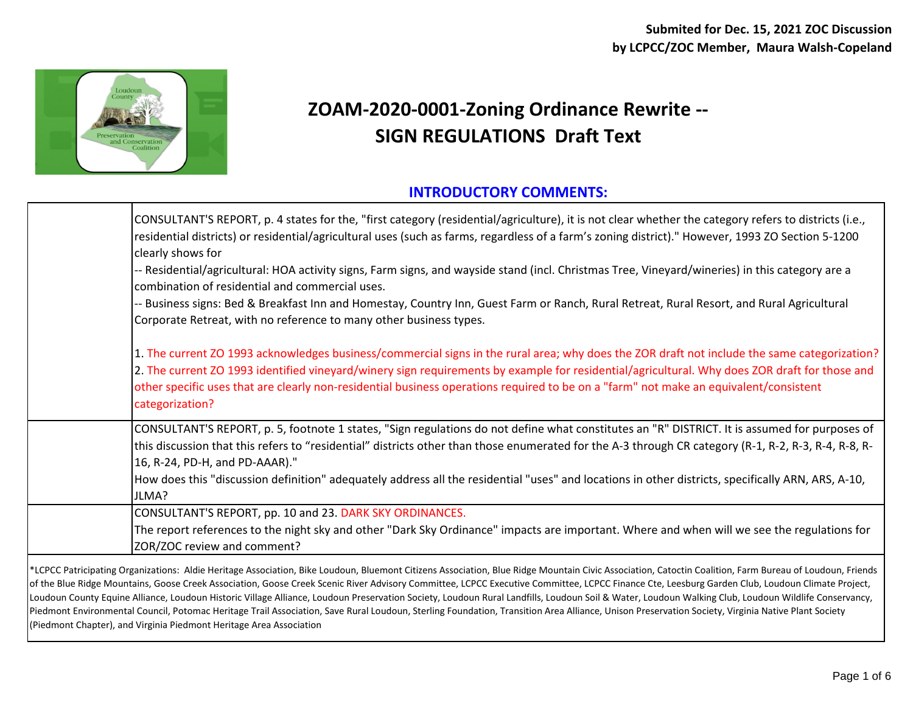

## **ZOAM-2020-0001-Zoning Ordinance Rewrite -- SIGN REGULATIONS Draft Text**

## **INTRODUCTORY COMMENTS:**

| CONSULTANT'S REPORT, p. 4 states for the, "first category (residential/agriculture), it is not clear whether the category refers to districts (i.e.,<br>residential districts) or residential/agricultural uses (such as farms, regardless of a farm's zoning district)." However, 1993 ZO Section 5-1200<br>clearly shows for                                                                                                                            |
|-----------------------------------------------------------------------------------------------------------------------------------------------------------------------------------------------------------------------------------------------------------------------------------------------------------------------------------------------------------------------------------------------------------------------------------------------------------|
| -- Residential/agricultural: HOA activity signs, Farm signs, and wayside stand (incl. Christmas Tree, Vineyard/wineries) in this category are a<br>combination of residential and commercial uses.                                                                                                                                                                                                                                                        |
| -- Business signs: Bed & Breakfast Inn and Homestay, Country Inn, Guest Farm or Ranch, Rural Retreat, Rural Resort, and Rural Agricultural<br>Corporate Retreat, with no reference to many other business types.                                                                                                                                                                                                                                          |
| 1. The current ZO 1993 acknowledges business/commercial signs in the rural area; why does the ZOR draft not include the same categorization?<br>2. The current ZO 1993 identified vineyard/winery sign requirements by example for residential/agricultural. Why does ZOR draft for those and<br>other specific uses that are clearly non-residential business operations required to be on a "farm" not make an equivalent/consistent<br>categorization? |
| CONSULTANT'S REPORT, p. 5, footnote 1 states, "Sign regulations do not define what constitutes an "R" DISTRICT. It is assumed for purposes of<br>this discussion that this refers to "residential" districts other than those enumerated for the A-3 through CR category (R-1, R-2, R-3, R-4, R-8, R-<br>16, R-24, PD-H, and PD-AAAR)."                                                                                                                   |
| How does this "discussion definition" adequately address all the residential "uses" and locations in other districts, specifically ARN, ARS, A-10,<br>JLMA?                                                                                                                                                                                                                                                                                               |
| CONSULTANT'S REPORT, pp. 10 and 23. DARK SKY ORDINANCES.                                                                                                                                                                                                                                                                                                                                                                                                  |
| The report references to the night sky and other "Dark Sky Ordinance" impacts are important. Where and when will we see the regulations for<br>ZOR/ZOC review and comment?                                                                                                                                                                                                                                                                                |
| <sup>1</sup> CPCC Patricinating Organizations: Aldie Heritage Association Rike Loudoun Rluemont Citizens Association Rlue Ridge Mountain Civic Association Catoctin Coalition Farm Bureau of Loudoun Friends                                                                                                                                                                                                                                              |

\*LCPCC Patricipating Organizations: Aldie Heritage Association, Bike Loudoun, Bluemont Citizens Association, Blue Ridge Mountain Civic Association, Catoctin Coalition, Farm Bureau of Loudoun, Friends of the Blue Ridge Mountains, Goose Creek Association, Goose Creek Scenic River Advisory Committee, LCPCC Executive Committee, LCPCC Finance Cte, Leesburg Garden Club, Loudoun Climate Project, Loudoun County Equine Alliance, Loudoun Historic Village Alliance, Loudoun Preservation Society, Loudoun Rural Landfills, Loudoun Soil & Water, Loudoun Walking Club, Loudoun Wildlife Conservancy, Piedmont Environmental Council, Potomac Heritage Trail Association, Save Rural Loudoun, Sterling Foundation, Transition Area Alliance, Unison Preservation Society, Virginia Native Plant Society (Piedmont Chapter), and Virginia Piedmont Heritage Area Association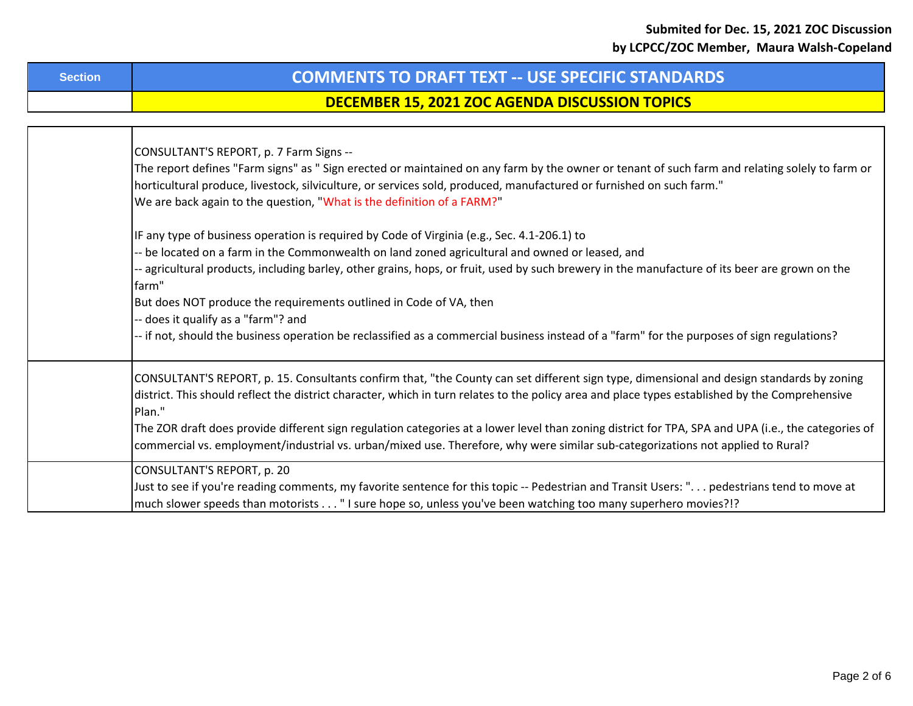| DECEMBER 15, 2021 ZOC AGENDA DISCUSSION TOPICS                                                                                                      |
|-----------------------------------------------------------------------------------------------------------------------------------------------------|
|                                                                                                                                                     |
| CONSULTANT'S REPORT, p. 7 Farm Signs --                                                                                                             |
| The report defines "Farm signs" as "Sign erected or maintained on any farm by the owner or tenant of such farm and relating solely to farm or       |
| horticultural produce, livestock, silviculture, or services sold, produced, manufactured or furnished on such farm."                                |
| We are back again to the question, "What is the definition of a FARM?"                                                                              |
| IF any type of business operation is required by Code of Virginia (e.g., Sec. 4.1-206.1) to                                                         |
| -- be located on a farm in the Commonwealth on land zoned agricultural and owned or leased, and                                                     |
| - agricultural products, including barley, other grains, hops, or fruit, used by such brewery in the manufacture of its beer are grown on the       |
| farm"                                                                                                                                               |
| But does NOT produce the requirements outlined in Code of VA, then                                                                                  |
| -- does it qualify as a "farm"? and                                                                                                                 |
| -- if not, should the business operation be reclassified as a commercial business instead of a "farm" for the purposes of sign regulations?         |
| CONSULTANT'S REPORT, p. 15. Consultants confirm that, "the County can set different sign type, dimensional and design standards by zoning           |
| district. This should reflect the district character, which in turn relates to the policy area and place types established by the Comprehensive     |
| Plan."                                                                                                                                              |
| The ZOR draft does provide different sign regulation categories at a lower level than zoning district for TPA, SPA and UPA (i.e., the categories of |
| commercial vs. employment/industrial vs. urban/mixed use. Therefore, why were similar sub-categorizations not applied to Rural?                     |
| CONSULTANT'S REPORT, p. 20                                                                                                                          |
| Just to see if you're reading comments, my favorite sentence for this topic -- Pedestrian and Transit Users: " pedestrians tend to move at          |
| much slower speeds than motorists " I sure hope so, unless you've been watching too many superhero movies?!?                                        |

**DECEMBER 15, 2021 ZOC AGENDA DISCUSSION TOPICS**

**Section COMMENTS TO DRAFT TEXT -- USE SPECIFIC STANDARDS**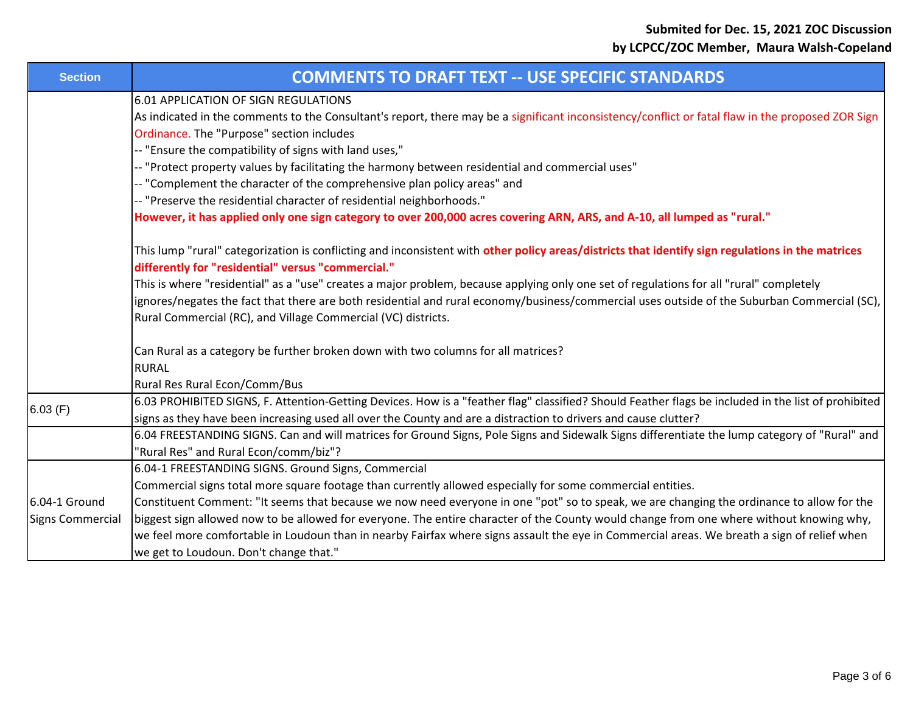| <b>Section</b>          | <b>COMMENTS TO DRAFT TEXT -- USE SPECIFIC STANDARDS</b>                                                                                             |
|-------------------------|-----------------------------------------------------------------------------------------------------------------------------------------------------|
|                         | <b>6.01 APPLICATION OF SIGN REGULATIONS</b>                                                                                                         |
|                         | As indicated in the comments to the Consultant's report, there may be a significant inconsistency/conflict or fatal flaw in the proposed ZOR Sign   |
|                         | Ordinance. The "Purpose" section includes                                                                                                           |
|                         | -- "Ensure the compatibility of signs with land uses,"                                                                                              |
|                         | -- "Protect property values by facilitating the harmony between residential and commercial uses"                                                    |
|                         | -- "Complement the character of the comprehensive plan policy areas" and                                                                            |
|                         | -- "Preserve the residential character of residential neighborhoods."                                                                               |
|                         | However, it has applied only one sign category to over 200,000 acres covering ARN, ARS, and A-10, all lumped as "rural."                            |
|                         | This lump "rural" categorization is conflicting and inconsistent with other policy areas/districts that identify sign regulations in the matrices   |
|                         | differently for "residential" versus "commercial."                                                                                                  |
|                         | This is where "residential" as a "use" creates a major problem, because applying only one set of regulations for all "rural" completely             |
|                         | ignores/negates the fact that there are both residential and rural economy/business/commercial uses outside of the Suburban Commercial (SC),        |
|                         | Rural Commercial (RC), and Village Commercial (VC) districts.                                                                                       |
|                         | Can Rural as a category be further broken down with two columns for all matrices?                                                                   |
|                         | <b>RURAL</b>                                                                                                                                        |
|                         | Rural Res Rural Econ/Comm/Bus                                                                                                                       |
| 6.03(F)                 | 6.03 PROHIBITED SIGNS, F. Attention-Getting Devices. How is a "feather flag" classified? Should Feather flags be included in the list of prohibited |
|                         | signs as they have been increasing used all over the County and are a distraction to drivers and cause clutter?                                     |
|                         | 6.04 FREESTANDING SIGNS. Can and will matrices for Ground Signs, Pole Signs and Sidewalk Signs differentiate the lump category of "Rural" and       |
|                         | "Rural Res" and Rural Econ/comm/biz"?                                                                                                               |
|                         | 6.04-1 FREESTANDING SIGNS. Ground Signs, Commercial                                                                                                 |
|                         | Commercial signs total more square footage than currently allowed especially for some commercial entities.                                          |
| 6.04-1 Ground           | Constituent Comment: "It seems that because we now need everyone in one "pot" so to speak, we are changing the ordinance to allow for the           |
| <b>Signs Commercial</b> | biggest sign allowed now to be allowed for everyone. The entire character of the County would change from one where without knowing why,            |
|                         | we feel more comfortable in Loudoun than in nearby Fairfax where signs assault the eye in Commercial areas. We breath a sign of relief when         |
|                         | we get to Loudoun. Don't change that."                                                                                                              |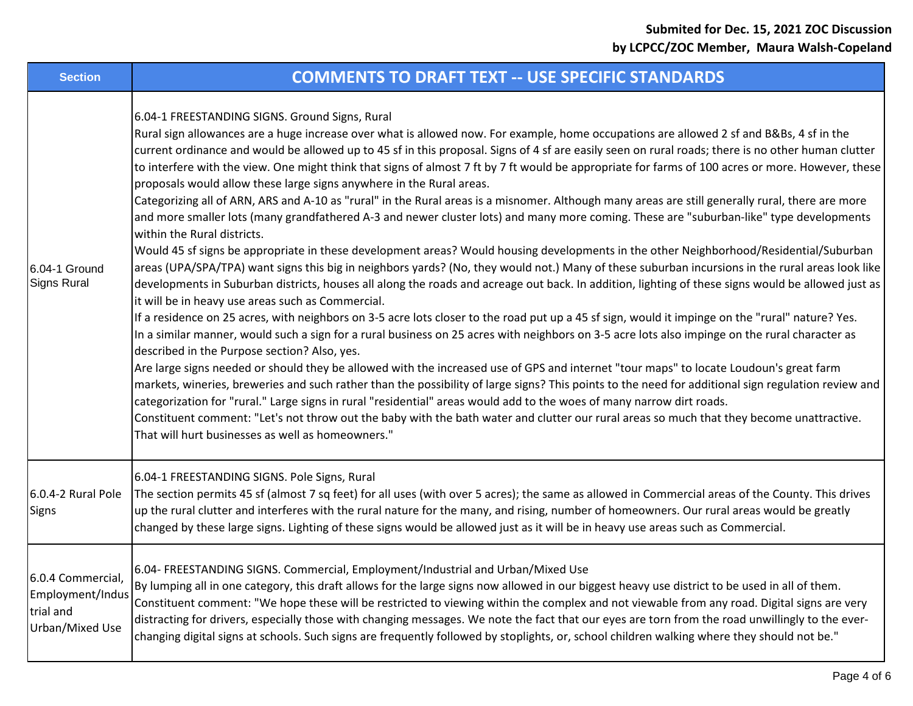| <b>Section</b>                                                        | <b>COMMENTS TO DRAFT TEXT -- USE SPECIFIC STANDARDS</b>                                                                                                                                                                                                                                                                                                                                                                                                                                                                                                                                                                                                                                                                                                                                                                                                                                                                                                                                                                                                                                                                                                                                                                                                                                                                                                                                                                                                                                                                                                                                                                                                                                                                                                                                                                                                                                                                                                                                                                                                                                                                                                                                                                                                                                                                                                                                                |
|-----------------------------------------------------------------------|--------------------------------------------------------------------------------------------------------------------------------------------------------------------------------------------------------------------------------------------------------------------------------------------------------------------------------------------------------------------------------------------------------------------------------------------------------------------------------------------------------------------------------------------------------------------------------------------------------------------------------------------------------------------------------------------------------------------------------------------------------------------------------------------------------------------------------------------------------------------------------------------------------------------------------------------------------------------------------------------------------------------------------------------------------------------------------------------------------------------------------------------------------------------------------------------------------------------------------------------------------------------------------------------------------------------------------------------------------------------------------------------------------------------------------------------------------------------------------------------------------------------------------------------------------------------------------------------------------------------------------------------------------------------------------------------------------------------------------------------------------------------------------------------------------------------------------------------------------------------------------------------------------------------------------------------------------------------------------------------------------------------------------------------------------------------------------------------------------------------------------------------------------------------------------------------------------------------------------------------------------------------------------------------------------------------------------------------------------------------------------------------------------|
| 6.04-1 Ground<br>Signs Rural                                          | 6.04-1 FREESTANDING SIGNS. Ground Signs, Rural<br>Rural sign allowances are a huge increase over what is allowed now. For example, home occupations are allowed 2 sf and B&Bs, 4 sf in the<br>current ordinance and would be allowed up to 45 sf in this proposal. Signs of 4 sf are easily seen on rural roads; there is no other human clutter<br>to interfere with the view. One might think that signs of almost 7 ft by 7 ft would be appropriate for farms of 100 acres or more. However, these<br>proposals would allow these large signs anywhere in the Rural areas.<br>Categorizing all of ARN, ARS and A-10 as "rural" in the Rural areas is a misnomer. Although many areas are still generally rural, there are more<br>and more smaller lots (many grandfathered A-3 and newer cluster lots) and many more coming. These are "suburban-like" type developments<br>within the Rural districts.<br>Would 45 sf signs be appropriate in these development areas? Would housing developments in the other Neighborhood/Residential/Suburban<br>areas (UPA/SPA/TPA) want signs this big in neighbors yards? (No, they would not.) Many of these suburban incursions in the rural areas look like<br>developments in Suburban districts, houses all along the roads and acreage out back. In addition, lighting of these signs would be allowed just as<br>it will be in heavy use areas such as Commercial.<br>If a residence on 25 acres, with neighbors on 3-5 acre lots closer to the road put up a 45 sf sign, would it impinge on the "rural" nature? Yes.<br>In a similar manner, would such a sign for a rural business on 25 acres with neighbors on 3-5 acre lots also impinge on the rural character as<br>described in the Purpose section? Also, yes.<br>Are large signs needed or should they be allowed with the increased use of GPS and internet "tour maps" to locate Loudoun's great farm<br>markets, wineries, breweries and such rather than the possibility of large signs? This points to the need for additional sign regulation review and<br>categorization for "rural." Large signs in rural "residential" areas would add to the woes of many narrow dirt roads.<br>Constituent comment: "Let's not throw out the baby with the bath water and clutter our rural areas so much that they become unattractive.<br>That will hurt businesses as well as homeowners." |
| 6.0.4-2 Rural Pole<br>Signs                                           | 6.04-1 FREESTANDING SIGNS. Pole Signs, Rural<br>The section permits 45 sf (almost 7 sq feet) for all uses (with over 5 acres); the same as allowed in Commercial areas of the County. This drives<br>up the rural clutter and interferes with the rural nature for the many, and rising, number of homeowners. Our rural areas would be greatly<br>changed by these large signs. Lighting of these signs would be allowed just as it will be in heavy use areas such as Commercial.                                                                                                                                                                                                                                                                                                                                                                                                                                                                                                                                                                                                                                                                                                                                                                                                                                                                                                                                                                                                                                                                                                                                                                                                                                                                                                                                                                                                                                                                                                                                                                                                                                                                                                                                                                                                                                                                                                                    |
| 6.0.4 Commercial,<br>Employment/Indus<br>trial and<br>Urban/Mixed Use | 6.04- FREESTANDING SIGNS. Commercial, Employment/Industrial and Urban/Mixed Use<br>By lumping all in one category, this draft allows for the large signs now allowed in our biggest heavy use district to be used in all of them.<br>Constituent comment: "We hope these will be restricted to viewing within the complex and not viewable from any road. Digital signs are very<br>distracting for drivers, especially those with changing messages. We note the fact that our eyes are torn from the road unwillingly to the ever-<br>changing digital signs at schools. Such signs are frequently followed by stoplights, or, school children walking where they should not be."                                                                                                                                                                                                                                                                                                                                                                                                                                                                                                                                                                                                                                                                                                                                                                                                                                                                                                                                                                                                                                                                                                                                                                                                                                                                                                                                                                                                                                                                                                                                                                                                                                                                                                                    |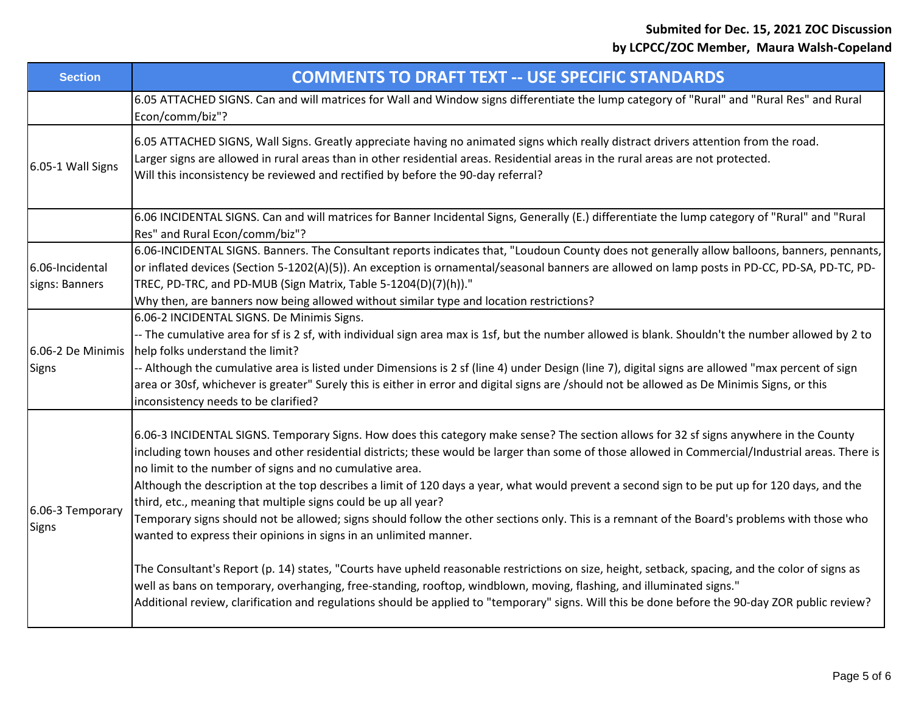| <b>Section</b>                    | <b>COMMENTS TO DRAFT TEXT -- USE SPECIFIC STANDARDS</b>                                                                                                                                                                                                                                                                                                                                                                                                                                                                                                                                                                                                                                                                                                                                                                                                                                                                                                                                                                                                                                                                                                                                                                      |
|-----------------------------------|------------------------------------------------------------------------------------------------------------------------------------------------------------------------------------------------------------------------------------------------------------------------------------------------------------------------------------------------------------------------------------------------------------------------------------------------------------------------------------------------------------------------------------------------------------------------------------------------------------------------------------------------------------------------------------------------------------------------------------------------------------------------------------------------------------------------------------------------------------------------------------------------------------------------------------------------------------------------------------------------------------------------------------------------------------------------------------------------------------------------------------------------------------------------------------------------------------------------------|
|                                   | 6.05 ATTACHED SIGNS. Can and will matrices for Wall and Window signs differentiate the lump category of "Rural" and "Rural Res" and Rural<br>Econ/comm/biz"?                                                                                                                                                                                                                                                                                                                                                                                                                                                                                                                                                                                                                                                                                                                                                                                                                                                                                                                                                                                                                                                                 |
| 6.05-1 Wall Signs                 | 6.05 ATTACHED SIGNS, Wall Signs. Greatly appreciate having no animated signs which really distract drivers attention from the road.<br>Larger signs are allowed in rural areas than in other residential areas. Residential areas in the rural areas are not protected.<br>Will this inconsistency be reviewed and rectified by before the 90-day referral?                                                                                                                                                                                                                                                                                                                                                                                                                                                                                                                                                                                                                                                                                                                                                                                                                                                                  |
|                                   | 6.06 INCIDENTAL SIGNS. Can and will matrices for Banner Incidental Signs, Generally (E.) differentiate the lump category of "Rural" and "Rural<br>Res" and Rural Econ/comm/biz"?                                                                                                                                                                                                                                                                                                                                                                                                                                                                                                                                                                                                                                                                                                                                                                                                                                                                                                                                                                                                                                             |
| 6.06-Incidental<br>signs: Banners | 6.06-INCIDENTAL SIGNS. Banners. The Consultant reports indicates that, "Loudoun County does not generally allow balloons, banners, pennants,<br>or inflated devices (Section 5-1202(A)(5)). An exception is ornamental/seasonal banners are allowed on lamp posts in PD-CC, PD-SA, PD-TC, PD-<br>TREC, PD-TRC, and PD-MUB (Sign Matrix, Table 5-1204(D)(7)(h))."                                                                                                                                                                                                                                                                                                                                                                                                                                                                                                                                                                                                                                                                                                                                                                                                                                                             |
| 6.06-2 De Minimis<br><b>Signs</b> | Why then, are banners now being allowed without similar type and location restrictions?<br>6.06-2 INCIDENTAL SIGNS. De Minimis Signs.<br>-- The cumulative area for sf is 2 sf, with individual sign area max is 1sf, but the number allowed is blank. Shouldn't the number allowed by 2 to<br>help folks understand the limit?<br>-- Although the cumulative area is listed under Dimensions is 2 sf (line 4) under Design (line 7), digital signs are allowed "max percent of sign<br>area or 30sf, whichever is greater" Surely this is either in error and digital signs are /should not be allowed as De Minimis Signs, or this<br>inconsistency needs to be clarified?                                                                                                                                                                                                                                                                                                                                                                                                                                                                                                                                                 |
| 6.06-3 Temporary<br><b>Signs</b>  | 6.06-3 INCIDENTAL SIGNS. Temporary Signs. How does this category make sense? The section allows for 32 sf signs anywhere in the County<br>including town houses and other residential districts; these would be larger than some of those allowed in Commercial/Industrial areas. There is<br>no limit to the number of signs and no cumulative area.<br>Although the description at the top describes a limit of 120 days a year, what would prevent a second sign to be put up for 120 days, and the<br>third, etc., meaning that multiple signs could be up all year?<br>Temporary signs should not be allowed; signs should follow the other sections only. This is a remnant of the Board's problems with those who<br>wanted to express their opinions in signs in an unlimited manner.<br>The Consultant's Report (p. 14) states, "Courts have upheld reasonable restrictions on size, height, setback, spacing, and the color of signs as<br>well as bans on temporary, overhanging, free-standing, rooftop, windblown, moving, flashing, and illuminated signs."<br>Additional review, clarification and regulations should be applied to "temporary" signs. Will this be done before the 90-day ZOR public review? |